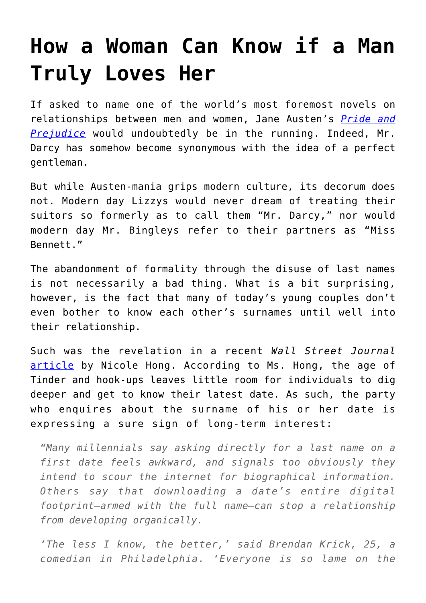## **[How a Woman Can Know if a Man](https://intellectualtakeout.org/2018/01/how-a-woman-can-know-if-a-man-truly-loves-her/) [Truly Loves Her](https://intellectualtakeout.org/2018/01/how-a-woman-can-know-if-a-man-truly-loves-her/)**

If asked to name one of the world's most foremost novels on relationships between men and women, Jane Austen's *[Pride and](https://www.amazon.com/gp/product/0141439513/ref=as_li_qf_sp_asin_il_tl?ie=UTF8&tag=intelltakeo0d-20&camp=1789&creative=9325&linkCode=as2&creativeASIN=0141439513&linkId=4c46b9d278f8414c4721dd5d30f381b1) [Prejudice](https://www.amazon.com/gp/product/0141439513/ref=as_li_qf_sp_asin_il_tl?ie=UTF8&tag=intelltakeo0d-20&camp=1789&creative=9325&linkCode=as2&creativeASIN=0141439513&linkId=4c46b9d278f8414c4721dd5d30f381b1)* would undoubtedly be in the running. Indeed, Mr. Darcy has somehow become synonymous with the idea of a perfect gentleman.

But while Austen-mania grips modern culture, its decorum does not. Modern day Lizzys would never dream of treating their suitors so formerly as to call them "Mr. Darcy," nor would modern day Mr. Bingleys refer to their partners as "Miss Bennett."

The abandonment of formality through the disuse of last names is not necessarily a bad thing. What is a bit surprising, however, is the fact that many of today's young couples don't even bother to know each other's surnames until well into their relationship.

Such was the revelation in a recent *Wall Street Journal* [article](https://www.wsj.com/articles/the-new-dating-no-no-asking-for-a-last-name-1516810482?mod=trending_now_4) by Nicole Hong. According to Ms. Hong, the age of Tinder and hook-ups leaves little room for individuals to dig deeper and get to know their latest date. As such, the party who enquires about the surname of his or her date is expressing a sure sign of long-term interest:

*"Many millennials say asking directly for a last name on a first date feels awkward, and signals too obviously they intend to scour the internet for biographical information. Others say that downloading a date's entire digital footprint—armed with the full name—can stop a relationship from developing organically.*

*'The less I know, the better,' said Brendan Krick, 25, a comedian in Philadelphia. 'Everyone is so lame on the*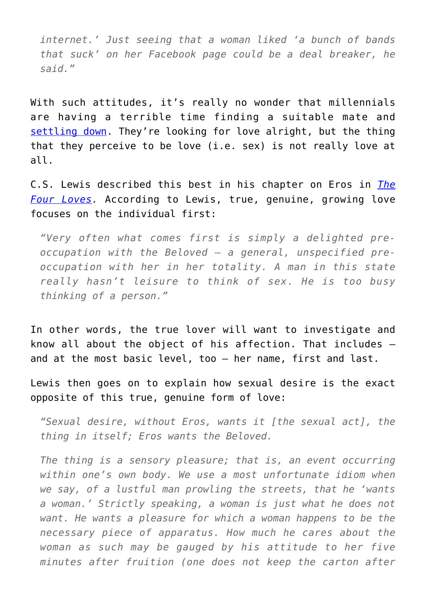*internet.' Just seeing that a woman liked 'a bunch of bands that suck' on her Facebook page could be a deal breaker, he said."*

With such attitudes, it's really no wonder that millennials are having a terrible time finding a suitable mate and [settling down](https://www.census.gov/content/dam/Census/library/visualizations/time-series/demo/families-and-households/ms-2.pdf). They're looking for love alright, but the thing that they perceive to be love (i.e. sex) is not really love at all.

C.S. Lewis described this best in his chapter on Eros in *[The](https://www.amazon.com/gp/product/0062565397/ref=as_li_qf_sp_asin_il_tl?ie=UTF8&tag=intelltakeo0d-20&camp=1789&creative=9325&linkCode=as2&creativeASIN=0062565397&linkId=02f7ccbde50467e493844b0359b54b1d) [Four Loves.](https://www.amazon.com/gp/product/0062565397/ref=as_li_qf_sp_asin_il_tl?ie=UTF8&tag=intelltakeo0d-20&camp=1789&creative=9325&linkCode=as2&creativeASIN=0062565397&linkId=02f7ccbde50467e493844b0359b54b1d)* According to Lewis, true, genuine, growing love focuses on the individual first:

*"Very often what comes first is simply a delighted preoccupation with the Beloved – a general, unspecified preoccupation with her in her totality. A man in this state really hasn't leisure to think of sex. He is too busy thinking of a person."*

In other words, the true lover will want to investigate and know all about the object of his affection. That includes – and at the most basic level, too – her name, first and last.

Lewis then goes on to explain how sexual desire is the exact opposite of this true, genuine form of love:

*"Sexual desire, without Eros, wants it [the sexual act], the thing in itself; Eros wants the Beloved.*

*The thing is a sensory pleasure; that is, an event occurring within one's own body. We use a most unfortunate idiom when we say, of a lustful man prowling the streets, that he 'wants a woman.' Strictly speaking, a woman is just what he does not want. He wants a pleasure for which a woman happens to be the necessary piece of apparatus. How much he cares about the woman as such may be gauged by his attitude to her five minutes after fruition (one does not keep the carton after*